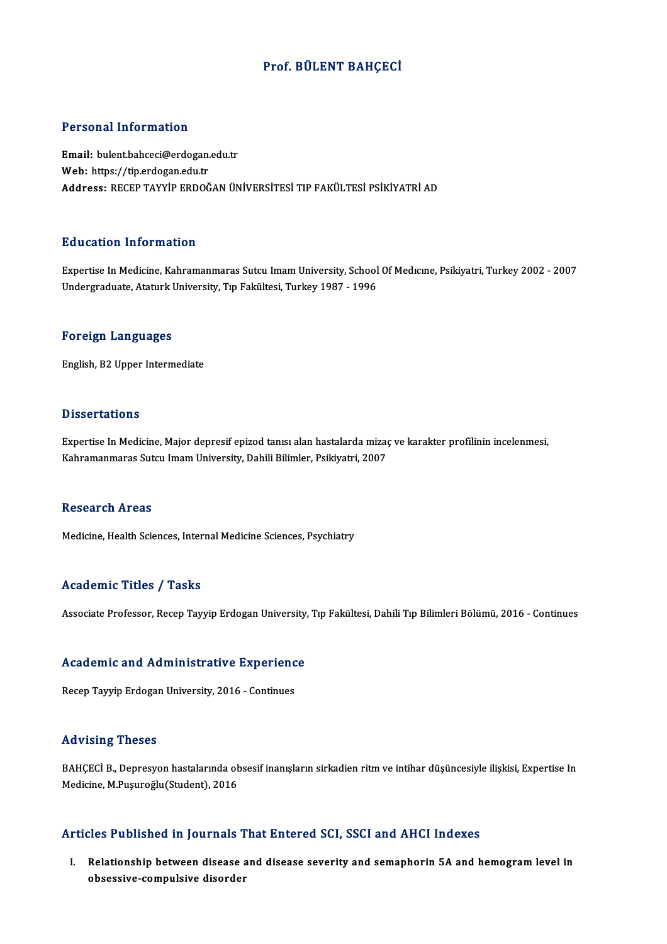## Prof. BÜLENT BAHÇECİ

### Personal Information

Personal Information<br>Email: bulent.bahceci@erdogan.edu.tr<br>Web: https://tip.ordogan.edu.tr r eroomar micermation<br>Email: bulentbahceci@erdogan.<br>Web: https://tip.erdogan.edu.tr<br>Address: BECER TAYVIR EPDOČ Web: https://tip.erdogan.edu.tr<br>Address: RECEP TAYYİP ERDOĞAN ÜNİVERSİTESİ TIP FAKÜLTESİ PSİKİYATRİ AD

## Education Information

Expertise InMedicine,Kahramanmaras Sutcu ImamUniversity,SchoolOfMedıcıne,Psikiyatri,Turkey2002 -2007 Undergraduate, Ataturk University, Tıp Fakültesi, Turkey 1987 - 1996

#### Foreign Languages

English,B2Upper Intermediate

### **Dissertations**

Expertise In Medicine, Major depresif epizod tanısı alan hastalarda mizaç ve karakter profilinin incelenmesi, Kahramanmaras Sutcu Imam University, Dahili Bilimler, Psikiyatri, 2007

#### **Research Areas**

Medicine, Health Sciences, Internal Medicine Sciences, Psychiatry

### Academic Titles / Tasks

Associate Professor, Recep Tayyip Erdogan University, Tıp Fakültesi, Dahili Tıp Bilimleri Bölümü, 2016 - Continues

# Associate Professor, Recep Tayyip Erdogan University,<br>Academic and Administrative Experience A<mark>cademic and Administrative Experienc</mark><br>Recep Tayyip Erdogan University, 2016 - Continues

Recep Tayyip Erdogan University, 2016 - Continues<br>Advising Theses

Advising Theses<br>BAHÇECİ B., Depresyon hastalarında obsesif inanışların sirkadien ritm ve intihar düşüncesiyle ilişkisi, Expertise In<br>Madisine M Pusuneğlu(Student), 2016 rra vising "ricoco"<br>BAHÇECİ B., Depresyon hastalarında ol<br>Medicine, M.Puşuroğlu(Student), 2016 Medicine, M.Puşuroğlu(Student), 2016<br>Articles Published in Journals That Entered SCI, SSCI and AHCI Indexes

rticles Published in Journals That Entered SCI, SSCI and AHCI Indexes<br>I. Relationship between disease and disease severity and semaphorin 5A and hemogram level in obsessive-compulsive disease<br>Relationship between disease<br>obsessive-compulsive disorder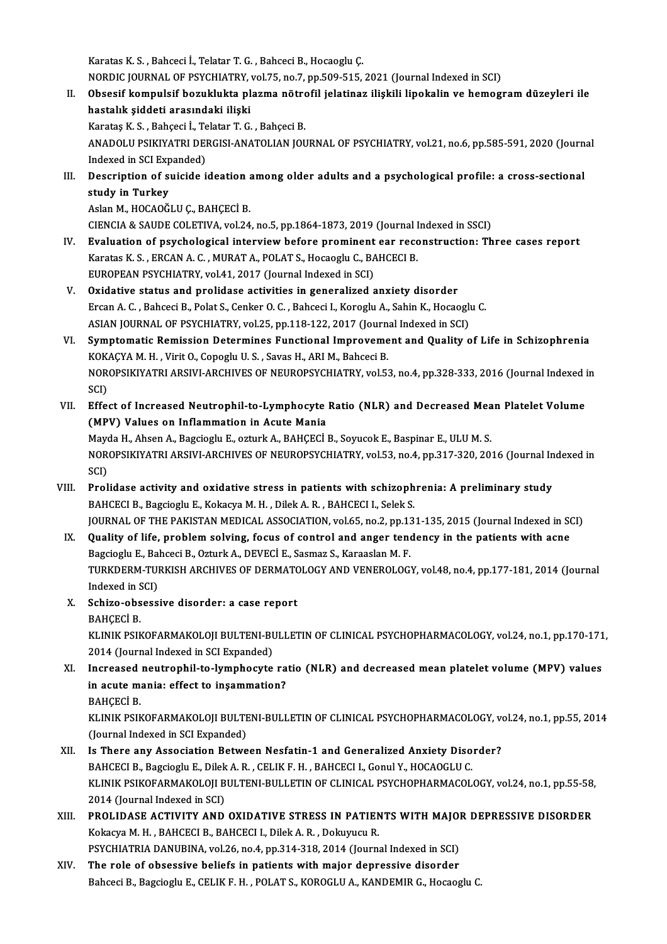Karatas K.S., Bahceci İ., Telatar T.G., Bahceci B., Hocaoglu Ç.

Karatas K. S. , Bahceci İ., Telatar T. G. , Bahceci B., Hocaoglu Ç.<br>NORDIC JOURNAL OF PSYCHIATRY, vol.75, no.7, pp.509-515, 2021 (Journal Indexed in SCI)<br>Obassif kompulsif boruklukta plarma pëtrofil islatinar iliakili line

II. Obsesif kompulsif bozuklukta plazma nötrofil jelatinaz ilişkili lipokalin ve hemogram düzeyleri ile<br>hastalık şiddeti arasındaki ilişki NORDIC JOURNAL OF PSYCHIATRY,<br>Obsesif kompulsif bozuklukta pl<br>hastalık şiddeti arasındaki ilişki<br>Karatas K.S., Pahassi İ. Telatar T.G. hastalık şiddeti arasındaki ilişki<br>Karataş K. S. , Bahçeci İ., Telatar T. G. , Bahçeci B.<br>ANADOLU PSIKIYATRI DERGISI-ANATOLIAN JOURNAL OF PSYCHIATRY, vol.21, no.6, pp.585-591, 2020 (Journal<br>Indexed in SCI Expended)

KarataşK.S. ,Bahçeci İ.,TelatarT.G. ,BahçeciB.

Karataş K. S. , Bahçeci İ., Te<br>ANADOLU PSIKIYATRI DEI<br>Indexed in SCI Expanded)<br>Pescription of suiside i ANADOLU PSIKIYATRI DERGISI-ANATOLIAN JOURNAL OF PSYCHIATRY, vol.21, no.6, pp.585-591, 2020 (Journ<br>Indexed in SCI Expanded)<br>III. Description of suicide ideation among older adults and a psychological profile: a cross-sectio

Indexed in SCI Expanded)<br>III. Description of suicide ideation among older adults and a psychological profile: a cross-sectional<br>study in Turkey

Aslan M., HOCAOĞLU Ç., BAHÇECİ B.

CIENCIA&SAUDECOLETIVA,vol.24,no.5,pp.1864-1873,2019 (Journal Indexed inSSCI)

- IV. Evaluation of psychological interview before prominent ear reconstruction: Three cases report Karatas K. S., ERCAN A. C., MURAT A., POLAT S., Hocaoglu C., BAHCECI B. EUROPEAN PSYCHIATRY, vol.41, 2017 (Journal Indexed in SCI)
- V. Oxidative status and prolidase activities in generalized anxiety disorder EUROPEAN PSYCHIATRY, vol.41, 2017 (Journal Indexed in SCI)<br>Oxidative status and prolidase activities in generalized anxiety disorder<br>Ercan A. C. , Bahceci B., Polat S., Cenker O. C. , Bahceci I., Koroglu A., Sahin K., Hoca Oxidative status and prolidase activities in generalized anxiety disorder<br>Ercan A. C. , Bahceci B., Polat S., Cenker O. C. , Bahceci I., Koroglu A., Sahin K., Hocaoglu<br>ASIAN JOURNAL OF PSYCHIATRY, vol.25, pp.118-122, 2017 ASIAN JOURNAL OF PSYCHIATRY, vol.25, pp.118-122, 2017 (Journal Indexed in SCI)
- VI. Symptomatic Remission Determines Functional Improvement and Quality of Life in Schizophrenia Symptomatic Remission Determines Functional Improvement and Quality of Life in Schizophrenia<br>KOKAÇYA M. H. , Virit O., Copoglu U. S. , Savas H., ARI M., Bahceci B.<br>NOROPSIKIYATRI ARSIVI-ARCHIVES OF NEUROPSYCHIATRY, vol.53, KOK<br>NOR<br>SCI)<br>Effe: NOROPSIKIYATRI ARSIVI-ARCHIVES OF NEUROPSYCHIATRY, vol.53, no.4, pp.328-333, 2016 (Journal Indexed i<br>SCI)<br>VII. Effect of Increased Neutrophil-to-Lymphocyte Ratio (NLR) and Decreased Mean Platelet Volume<br>(MBV) Volues on Inf
- SCI)<br>VII. Effect of Increased Neutrophil-to-Lymphocyte Ratio (NLR) and Decreased Mean Platelet Volume<br>(MPV) Values on Inflammation in Acute Mania Effect of Increased Neutrophil-to-Lymphocyte Ratio (NLR) and Decreased Mea<br>(MPV) Values on Inflammation in Acute Mania<br>Mayda H., Ahsen A., Bagcioglu E., ozturk A., BAHÇECİ B., Soyucok E., Baspinar E., ULU M. S.<br>NOROBSIKIVA

(MPV) Values on Inflammation in Acute Mania<br>Mayda H., Ahsen A., Bagcioglu E., ozturk A., BAHÇECİ B., Soyucok E., Baspinar E., ULU M. S.<br>NOROPSIKIYATRI ARSIVI-ARCHIVES OF NEUROPSYCHIATRY, vol.53, no.4, pp.317-320, 2016 (Jou Mayo<br>NOR<br>SCI)<br>Prol NOROPSIKIYATRI ARSIVI-ARCHIVES OF NEUROPSYCHIATRY, vol.53, no.4, pp.317-320, 2016 (Journal In<br>SCI)<br>VIII. Prolidase activity and oxidative stress in patients with schizophrenia: A preliminary study<br>PAUCECLE PROGISCULE Kolog

- SCI)<br>VIII. Prolidase activity and oxidative stress in patients with schizophrenia: A preliminary study<br>BAHCECI B., Bagcioglu E., Kokacya M. H. , Dilek A. R. , BAHCECI I., Selek S. Prolidase activity and oxidative stress in patients with schizophrenia: A preliminary study<br>BAHCECI B., Bagcioglu E., Kokacya M. H. , Dilek A. R. , BAHCECI I., Selek S.<br>JOURNAL OF THE PAKISTAN MEDICAL ASSOCIATION, vol.65, BAHCECI B., Bagcioglu E., Kokacya M. H., Dilek A. R., BAHCECI I., Selek S.<br>JOURNAL OF THE PAKISTAN MEDICAL ASSOCIATION, vol.65, no.2, pp.131-135, 2015 (Journal Indexed in SO.<br>IX. Quality of life, problem solving, focus of
	- JOURNAL OF THE PAKISTAN MEDICAL ASSOCIATION, vol.65, no.2, pp.13<br>Quality of life, problem solving, focus of control and anger tene<br>Bagcioglu E., Bahceci B., Ozturk A., DEVECİ E., Sasmaz S., Karaaslan M. F.<br>TURKDERM TURKISH Quality of life, problem solving, focus of control and anger tendency in the patients with acne<br>Bagcioglu E., Bahceci B., Ozturk A., DEVECİ E., Sasmaz S., Karaaslan M. F.<br>TURKDERM-TURKISH ARCHIVES OF DERMATOLOGY AND VENERO Bagcioglu E., Ba<br>TURKDERM-TUI<br>Indexed in SCI)<br>Schire obsess TURKDERM-TURKISH ARCHIVES OF DERMATO<br>Indexed in SCI)<br>X. Schizo-obsessive disorder: a case report<br>PAUCECLE
	- Indexed in SCI)<br>X. Schizo-obsessive disorder: a case report<br>BAHÇECİ B. Schizo-obsessive disorder: a case report<br>BAHÇECİ B.<br>KLINIK PSIKOFARMAKOLOJI BULTENI-BULLETIN OF CLINICAL PSYCHOPHARMACOLOGY, vol.24, no.1, pp.170-171,<br>2014 (Jaurnal Indaved in SCLEvnanded) BAHÇECİ B.<br>KLINIK PSIKOFARMAKOLOJI BULTENI-BI<br>2014 (Journal Indexed in SCI Expanded)<br>Insreased neutranbil ta lumnhasuta
	- KLINIK PSIKOFARMAKOLOJI BULTENI-BULLETIN OF CLINICAL PSYCHOPHARMACOLOGY, vol.24, no.1, pp.170-171<br>2014 (Journal Indexed in SCI Expanded)<br>XI. Increased neutrophil-to-lymphocyte ratio (NLR) and decreased mean platelet volume 2014 (Journal Indexed in SCI Expanded)<br>Increased neutrophil-to-lymphocyte ra<br>in acute mania: effect to inşammation?<br>PAHCECI P Increased<br>in acute m<br>BAHÇECİ B.<br>EU INIE BEIL in acute mania: effect to inşammation?<br>BAHÇECİ B.<br>KLINIK PSIKOFARMAKOLOJI BULTENI-BULLETIN OF CLINICAL PSYCHOPHARMACOLOGY, vol.24, no.1, pp.55, 2014

BAHÇECİ B.<br>KLINIK PSIKOFARMAKOLOJI BULTI<br>(Journal Indexed in SCI Expanded)<br>Is There any Association Betwe KLINIK PSIKOFARMAKOLOJI BULTENI-BULLETIN OF CLINICAL PSYCHOPHARMACOLOGY, ve<br>(Journal Indexed in SCI Expanded)<br>XII. Is There any Association Between Nesfatin-1 and Generalized Anxiety Disorder?<br>RAHCECLE RAGGOGIU E Dilok A.B (Journal Indexed in SCI Expanded)<br>Bahamah (Senation Petween Nesfatin-1 and Generalized Anxiety Disorder?

- KLINIK PSIKOFARMAKOLOJI BULTENI-BULLETIN OF CLINICAL PSYCHOPHARMACOLOGY, vol.24, no.1, pp.55-58,<br>2014 (Journal Indexed in SCI) BAHCECI B., Bagcioglu E., Dilek A. R., CELIK F. H., BAHCECI I., Gonul Y., HOCAOGLU C. KLINIK PSIKOFARMAKOLOJI BULTENI-BULLETIN OF CLINICAL PSYCHOPHARMACOLOGY, vol.24, no.1, pp.55-58,<br>2014 (Journal Indexed in SCI)<br>XIII. PROLIDASE ACTIVITY AND OXIDATIVE STRESS IN PATIENTS WITH MAJOR DEPRESSIVE DISORDER<br>Kokowa
- 2014 (Journal Indexed in SCI)<br>PROLIDASE ACTIVITY AND OXIDATIVE STRESS IN PATIEN<br>Kokacya M. H. , BAHCECI B., BAHCECI I., Dilek A. R. , Dokuyucu R.<br>RSYCHIATRIA DANIJBINA, vol 26, no 4, nn 314, 319, 3014 (Journa PROLIDASE ACTIVITY AND OXIDATIVE STRESS IN PATIENTS WITH MAJOI<br>Kokacya M. H. , BAHCECI B., BAHCECI I., Dilek A. R. , Dokuyucu R.<br>PSYCHIATRIA DANUBINA, vol.26, no.4, pp.314-318, 2014 (Journal Indexed in SCI)<br>The role of cha Kokacya M. H. , BAHCECI B., BAHCECI I., Dilek A. R. , Dokuyucu R.<br>PSYCHIATRIA DANUBINA, vol.26, no.4, pp.314-318, 2014 (Journal Indexed in SCI)<br>XIV. The role of obsessive beliefs in patients with major depressive disorder
- Bahceci B., Bagcioglu E., CELIK F. H., POLAT S., KOROGLU A., KANDEMIR G., Hocaoglu C.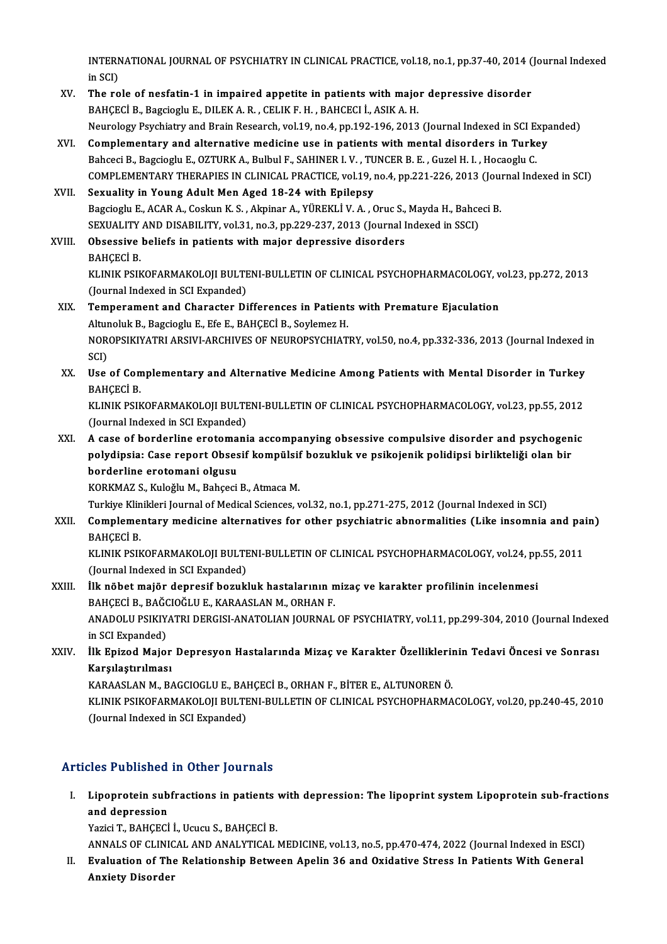INTERNATIONAL JOURNAL OF PSYCHIATRY IN CLINICAL PRACTICE, vol.18, no.1, pp.37-40, 2014 (Journal Indexed<br>in SCD INTERN<br>in SCI)<br>The re INTERNATIONAL JOURNAL OF PSYCHIATRY IN CLINICAL PRACTICE, vol.18, no.1, pp.37-40, 2014 (<br>in SCI)<br>XV. The role of nesfatin-1 in impaired appetite in patients with major depressive disorder<br> $P_{\text{AMCECI}}$  Program: F. DU EKA P.

- in SCI)<br>XV. The role of nesfatin-1 in impaired appetite in patients with major depressive disorder<br>BAHÇECİ B., Bagcioglu E., DILEK A. R. , CELIK F. H. , BAHCECI İ., ASIK A. H. Neurology Psychiatry and Brain Research, vol.19, no.4, pp.192-196, 2013 (Journal Indexed in SCI Expanded)
- XVI. Complementary and alternative medicine use in patients with mental disorders in Turkey Neurology Psychiatry and Brain Research, vol.19, no.4, pp.192-196, 2013 (Journal Indexed in SCI E.<br>Complementary and alternative medicine use in patients with mental disorders in Turk<br>Bahceci B., Bagcioglu E., OZTURK A., B Complementary and alternative medicine use in patients with mental disorders in Turkey<br>Bahceci B., Bagcioglu E., OZTURK A., Bulbul F., SAHINER I. V. , TUNCER B. E. , Guzel H. I. , Hocaoglu C.<br>COMPLEMENTARY THERAPIES IN CLI Bahceci B., Bagcioglu E., OZTURK A., Bulbul F., SAHINER I. V., TU<br>COMPLEMENTARY THERAPIES IN CLINICAL PRACTICE, vol.19, i<br>XVII. Sexuality in Young Adult Men Aged 18-24 with Epilepsy<br>Persies in Young Adult Men Aged 18-24 wi

## COMPLEMENTARY THERAPIES IN CLINICAL PRACTICE, vol.19, no.4, pp.221-226, 2013 (Journal Sexuality in Young Adult Men Aged 18-24 with Epilepsy<br>Bagcioglu E., ACAR A., Coskun K.S. , Akpinar A., YÜREKLİ V. A. , Oruc S., Mayda H. Sexuality in Young Adult Men Aged 18-24 with Epilepsy<br>Bagcioglu E., ACAR A., Coskun K. S. , Akpinar A., YÜREKLİ V. A. , Oruc S., Mayda H., Bahce<br>SEXUALITY AND DISABILITY, vol.31, no.3, pp.229-237, 2013 (Journal Indexed in Bagcioglu E., ACAR A., Coskun K. S. , Akpinar A., YÜREKLİ V. A. , Oruc S.,<br>SEXUALITY AND DISABILITY, vol.31, no.3, pp.229-237, 2013 (Journal I<br>XVIII. Obsessive beliefs in patients with major depressive disorders

SEXUALITY AND DISABILITY, vol.31, no.3, pp.229-237, 2013 (Journal Indexed in SSCI)<br>Obsessive beliefs in patients with major depressive disorders<br>BAHÇECİ B. Obsessive beliefs in patients with major depressive disorders<br>BAHÇECİ B.<br>KLINIK PSIKOFARMAKOLOJI BULTENI-BULLETIN OF CLINICAL PSYCHOPHARMACOLOGY, vol.23, pp.272, 2013<br>(Jaurnal Indoved in SCI Expanded) BAHÇECİ B.<br>KLINIK PSIKOFARMAKOLOJI BULTI<br>(Journal Indexed in SCI Expanded)<br>Temperament and Character Di

## KLINIK PSIKOFARMAKOLOJI BULTENI-BULLETIN OF CLINICAL PSYCHOPHARMACOLOGY, v<br>(Journal Indexed in SCI Expanded)<br>XIX. Temperament and Character Differences in Patients with Premature Ejaculation (Journal Indexed in SCI Expanded)<br>Temperament and Character Differences in Patients with Premature Ejaculation NOROPSIKIYATRI ARSIVI-ARCHIVES OF NEUROPSYCHIATRY, vol.50, no.4, pp.332-336, 2013 (Journal Indexed in SCI) Altunoluk B., Bagcioglu E., Efe E., BAHCECİ B., Soylemez H. NOROPSIKIYATRI ARSIVI-ARCHIVES OF NEUROPSYCHIATRY, vol.50, no.4, pp.332-336, 2013 (Journal Indexed i<br>SCI)<br>XX. Use of Complementary and Alternative Medicine Among Patients with Mental Disorder in Turkey<br>RAHCECLE

SCI)<br>Use of Con<br>BAHÇECİ B.<br>KUNIK PSIK Use of Complementary and Alternative Medicine Among Patients with Mental Disorder in Turkey<br>BAHÇECİ B.<br>KLINIK PSIKOFARMAKOLOJI BULTENI-BULLETIN OF CLINICAL PSYCHOPHARMACOLOGY, vol.23, pp.55, 2012<br>(Jaurnal Indoved in SCLEvn

BAHÇECİ B.<br>KLINIK PSIKOFARMAKOLOJI BULTENI-BULLETIN OF CLINICAL PSYCHOPHARMACOLOGY, vol.23, pp.55, 2012<br>(Journal Indexed in SCI Expanded) KLINIK PSIKOFARMAKOLOJI BULTENI-BULLETIN OF CLINICAL PSYCHOPHARMACOLOGY, vol.23, pp.55, 2012<br>(Journal Indexed in SCI Expanded)<br>XXI. A case of borderline erotomania accompanying obsessive compulsive disorder and psychogenic

(Journal Indexed in SCI Expanded)<br>A case of borderline erotomania accompanying obsessive compulsive disorder and psychogen<br>polydipsia: Case report Obsesif kompülsif bozukluk ve psikojenik polidipsi birlikteliği olan bir<br>bo A case of borderline erotoma<br>polydipsia: Case report Obses<br>borderline erotomani olgusu<br>KORKMAZ S. Kuložlu M. Pobseci polydipsia: Case report Obsesif kompülsif bozukluk ve psikojenik polidipsi birlikteliği olan bir<br>borderline erotomani olgusu<br>KORKMAZ S., Kuloğlu M., Bahçeci B., Atmaca M.

Turkiye Klinikleri Journal of Medical Sciences, vol.32, no.1, pp.271-275, 2012 (Journal Indexed in SCI)

KORKMAZ S., Kuloğlu M., Bahçeci B., Atmaca M.<br>Turkiye Klinikleri Journal of Medical Sciences, vol.32, no.1, pp.271-275, 2012 (Journal Indexed in SCI)<br>XXII. Complementary medicine alternatives for other psychiatric abno Turkiye Klin<br>Compleme:<br>BAHÇECİ B.<br>KUNIK BEIL Complementary medicine alternatives for other psychiatric abnormalities (Like insomnia and pai<br>BAHÇECİ B.<br>KLINIK PSIKOFARMAKOLOJI BULTENI-BULLETIN OF CLINICAL PSYCHOPHARMACOLOGY, vol.24, pp.55, 2011<br>(Jaurnal Indoved in SCL

BAHÇECİ B.<br>KLINIK PSIKOFARMAKOLOJI BULTE<br>(Journal Indexed in SCI Expanded)<br><sup>İlk</sup> P<sup>ä</sup>bet mejër denresif besukl KLINIK PSIKOFARMAKOLOJI BULTENI-BULLETIN OF CLINICAL PSYCHOPHARMACOLOGY, vol.24, pp<br>(Journal Indexed in SCI Expanded)<br>XXIII. IIk nöbet majör depresif bozukluk hastalarının mizaç ve karakter profilinin incelenmesi<br>PAHCECI B

## (Journal Indexed in SCI Expanded)<br>İlk nöbet majör depresif bozukluk hastalarının n<br>BAHÇECİ B., BAĞCIOĞLU E., KARAASLAN M., ORHAN F.<br>ANADOLU BSIKIYATRI DERÇISLANATOLIAN JOURNAL İlk nöbet majör depresif bozukluk hastalarının mizaç ve karakter profilinin incelenmesi<br>BAHÇECİ B., BAĞCIOĞLU E., KARAASLAN M., ORHAN F.<br>ANADOLU PSIKIYATRI DERGISI-ANATOLIAN JOURNAL OF PSYCHIATRY, vol.11, pp.299-304, 2010 BAHÇECİ B., BAĞC<br>ANADOLU PSIKIY.<br>in SCI Expanded)<br>ilk Enirod Maio. ANADOLU PSIKIYATRI DERGISI-ANATOLIAN JOURNAL OF PSYCHIATRY, vol.11, pp.299-304, 2010 (Journal Indexe<br>in SCI Expanded)<br>XXIV. İlk Epizod Major Depresyon Hastalarında Mizaç ve Karakter Özelliklerinin Tedavi Öncesi ve Sonrası<br>

in SCI Expanded)<br>İlk Epizod Major Depresyon Hastalarında Mizaç ve Karakter Özelliklerir<br>Karşılaştırılması<br>KARAASLAN M., BAGCIOGLU E., BAHCECİ B., ORHAN F., BİTER E., ALTUNOREN Ö. İlk Epizod Major Depresyon Hastalarında Mizaç ve Karakter Özellikleriı<br>Karşılaştırılması<br>KARAASLAN M., BAGCIOGLU E., BAHÇECİ B., ORHAN F., BİTER E., ALTUNOREN Ö.<br>KLINIK RSIKOFARMAKOLOU RULTENL RULLETIN OF CLINICAL RSYCHORH

KLINIK PSIKOFARMAKOLOJI BULTENI-BULLETIN OF CLINICAL PSYCHOPHARMACOLOGY, vol.20, pp.240-45, 2010 (Journal Indexed in SCI Expanded)

## Articles Published in Other Journals

rticles Published in Other Journals<br>I. Lipoprotein subfractions in patients with depression: The lipoprint system Lipoprotein sub-fractions<br>and depression Lipoprotein sub<br>and depression<br>Varia T. BAUCECI Lipoprotein subfractions in patients<br>and depression<br>Yazici T., BAHÇECİ İ., Ucucu S., BAHÇECİ B.<br>ANNALS OF CLINICAL AND ANALYTICAL I and depression<br>Yazici T., BAHÇECİ İ., Ucucu S., BAHÇECİ B.<br>ANNALS OF CLINICAL AND ANALYTICAL MEDICINE, vol.13, no.5, pp.470-474, 2022 (Journal Indexed in ESCI)<br>Evaluation of The Bolationship Between Anelin 36 and Ovidative

Yazici T., BAHÇECİ İ., Ucucu S., BAHÇECİ B.<br>ANNALS OF CLINICAL AND ANALYTICAL MEDICINE, vol.13, no.5, pp.470-474, 2022 (Journal Indexed in ESCI)<br>II. Evaluation of The Relationship Between Apelin 36 and Oxidative Stress In ANNALS OF CLINIC<br><mark>Evaluation of Th</mark>e<br>Anxiety Disorder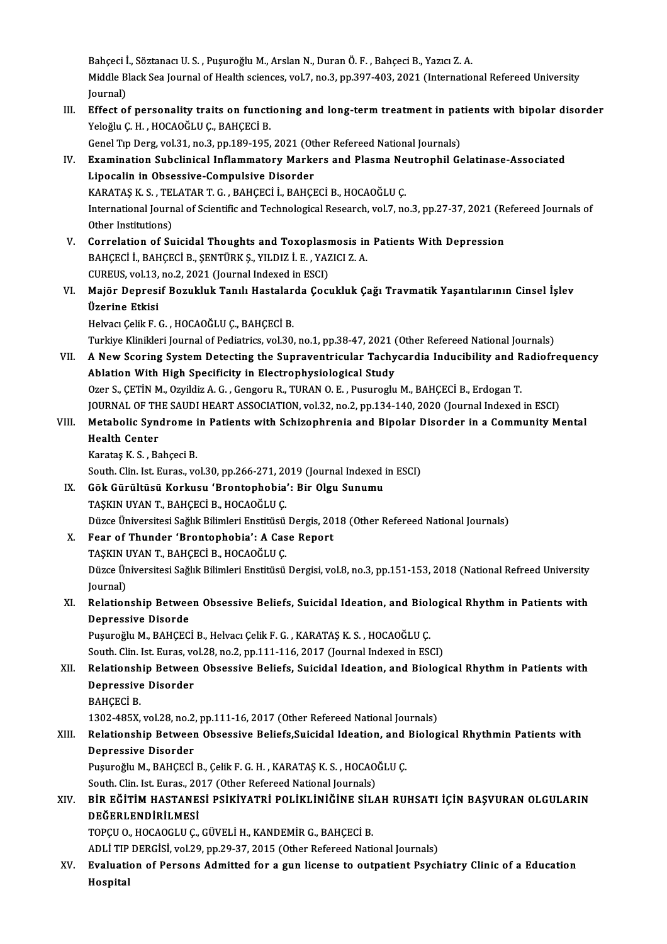Bahçeci İ., Söztanacı U.S., Puşuroğlu M., Arslan N., Duran Ö.F., Bahçeci B., Yazıcı Z.A. Bahçeci İ., Söztanacı U. S. , Puşuroğlu M., Arslan N., Duran Ö. F. , Bahçeci B., Yazıcı Z. A.<br>Middle Black Sea Journal of Health sciences, vol.7, no.3, pp.397-403, 2021 (International Refereed University Bahçeci İ<br>Middle B<br>Journal)<br>Effect ei

Middle Black Sea Journal of Health sciences, vol.7, no.3, pp.397-403, 2021 (International Refereed University<br>Journal)<br>III. Effect of personality traits on functioning and long-term treatment in patients with bipolar disor Journal)<br><mark>Effect of personality traits on functi</mark><br>Yeloğlu Ç. H. , HOCAOĞLU Ç., BAHÇECİ B.<br>Cenel Tın Ders vel 31, no 3, np 199, 195. Effect of personality traits on functioning and long-term treatment in pat<br>Yeloğlu Ç. H. , HOCAOĞLU Ç., BAHÇECİ B.<br>Genel Tıp Derg, vol.31, no.3, pp.189-195, 2021 (Other Refereed National Journals)<br>Examination Subelinical I Yeloğlu Ç. H. , HOCAOĞLU Ç., BAHÇECİ B.<br>Genel Tıp Derg, vol.31, no.3, pp.189-195, 2021 (Other Refereed National Journals)<br>IV. Examination Subclinical Inflammatory Markers and Plasma Neutrophil Gelatinase-Associated<br>Innesel Genel Tip Derg, vol.31, no.3, pp.189-195, 2021 (Ot<br>Examination Subclinical Inflammatory Marke<br>Lipocalin in Obsessive-Compulsive Disorder<br>KARATAS K.S., TELATAR T.G., RAHCECLL RAHCE Examination Subclinical Inflammatory Markers and Plasma Ne<br>Lipocalin in Obsessive-Compulsive Disorder<br>KARATAŞ K. S. , TELATAR T. G. , BAHÇECİ İ., BAHÇECİ B., HOCAOĞLU Ç.<br>International Journal of Scientific and Technologica Lipocalin in Obsessive-Compulsive Disorder<br>KARATAŞ K. S. , TELATAR T. G. , BAHÇECİ İ., BAHÇECİ B., HOCAOĞLU Ç.<br>International Journal of Scientific and Technological Research, vol.7, no.3, pp.27-37, 2021 (Refereed Journals KARATAŞ K. S. , TEI<br>International Journ<br>Other Institutions)<br>Correlation of Su International Journal of Scientific and Technological Research, vol.7, no.3, pp.27-37, 2021 (Repression Other Institutions)<br>V. Correlation of Suicidal Thoughts and Toxoplasmosis in Patients With Depression<br>RAHCECLU RAHCECL Other Institutions)<br>
V. Correlation of Suicidal Thoughts and Toxoplasmosis in Patients With Depression<br>
BAHÇECİ İ., BAHÇECİ B., ŞENTÜRK Ş., YILDIZ İ. E. , YAZICI Z. A. Correlation of Suicidal Thoughts and Toxoplasm<br>BAHÇECİ İ., BAHÇECİ B., ŞENTÜRK Ş., YILDIZ İ. E. , YAZ<br>CUREUS, vol.13, no.2, 2021 (Journal Indexed in ESCI)<br>Maiër Denresif Begukluk Tanılı Hestalarda Cost BAHÇECİ İ., BAHÇECİ B., ŞENTÜRK Ş., YILDIZ İ. E. , YAZICI Z. A.<br>CUREUS, vol.13, no.2, 2021 (Journal Indexed in ESCI)<br>VI. Majör Depresif Bozukluk Tanılı Hastalarda Çocukluk Çağı Travmatik Yaşantılarının Cinsel İşlev<br>Üze CUREUS, vol.13,<br>Majör Depresi<br>Üzerine Etkisi<br>Hekres Celik E Majör Depresif Bozukluk Tanılı Hastalar<br>Üzerine Etkisi<br>Helvacı Çelik F. G. , HOCAOĞLU Ç., BAHÇECİ B.<br>Turkiye Klinikleri Journal of Bodiatrice vel 30 Üzerine Etkisi<br>Helvacı Çelik F. G. , HOCAOĞLU Ç., BAHÇECİ B.<br>Turkiye Klinikleri Journal of Pediatrics, vol.30, no.1, pp.38-47, 2021 (Other Refereed National Journals)<br>A Now Seering System Detesting the Sunnaventricular Tes Helvacı Çelik F. G. , HOCAOĞLU Ç., BAHÇECİ B.<br>Turkiye Klinikleri Journal of Pediatrics, vol.30, no.1, pp.38-47, 2021 (Other Refereed National Journals)<br>VII. A New Scoring System Detecting the Supraventricular Tachycard Turkiye Klinikleri Journal of Pediatrics, vol.30, no.1, pp.38-47, 2021 (<br>A New Scoring System Detecting the Supraventricular Tachy<br>Ablation With High Specificity in Electrophysiological Study<br>Oren S. GETIN M. Orvildir A. G A New Scoring System Detecting the Supraventricular Tachycardia Inducibility and R<br>Ablation With High Specificity in Electrophysiological Study<br>Ozer S., ÇETİN M., Ozyildiz A. G. , Gengoru R., TURAN O. E. , Pusuroglu M., BA Ablation With High Specificity in Electrophysiological Study<br>Ozer S., ÇETİN M., Ozyildiz A. G. , Gengoru R., TURAN O. E. , Pusuroglu M., BAHÇECİ B., Erdogan T.<br>JOURNAL OF THE SAUDI HEART ASSOCIATION, vol.32, no.2, pp.134-1 Ozer S., ÇETİN M., Ozyildiz A. G. , Gengoru R., TURAN O. E. , Pusuroglu M., BAHÇECİ B., Erdogan T.<br>JOURNAL OF THE SAUDI HEART ASSOCIATION, vol.32, no.2, pp.134-140, 2020 (Journal Indexed in ESCI)<br>VIII. Metabolic Syndrome i JOURNAL OF TH<br>Metabolic Syn<br>Health Center<br>Karatas K.S., Be Metabolic Syndrome<br>Health Center<br>Karataş K.S., Bahçeci B.<br>South Clin Jet Eures, ve Health Center<br>Karataş K. S. , Bahçeci B.<br>South. Clin. Ist. Euras., vol.30, pp.266-271, 2019 (Journal Indexed in ESCI)<br>Cêk Günültüsü Korkusu (Brontonbobia), Bir Olsu Sunumu Karataş K. S. , Bahçeci B.<br>South. Clin. Ist. Euras., vol.30, pp.266-271, 2019 (Journal Indexed<br>IX. Gök Gürültüsü Korkusu 'Brontophobia': Bir Olgu Sunumu<br>TAŞKIN UYAN T., BAHÇECİ B., HOCAOĞLU Ç. South. Clin. Ist. Euras., vol.30, pp.266-271, 20<br>Gök Gürültüsü Korkusu 'Brontophobia'<br>TAŞKIN UYAN T., BAHÇECİ B., HOCAOĞLU Ç.<br>Düzec Üniversitesi Sağlık Bilimleri Enstitüsü Gök Gürültüsü Korkusu 'Brontophobia': Bir Olgu Sunumu<br>TAŞKIN UYAN T., BAHÇECİ B., HOCAOĞLU Ç.<br>Düzce Üniversitesi Sağlık Bilimleri Enstitüsü Dergis, 2018 (Other Refereed National Journals)<br>Feer of Thunder 'Prentenbebia': A X. Fear of Thunder 'Brontophobia': A Case Report Düzce Üniversitesi Sağlık Bilimleri Enstitüsü<br>Fear of Thunder 'Brontophobia': A Cas<br>TAŞKIN UYAN T., BAHÇECİ B., HOCAOĞLU Ç.<br>Düzce Üniversitesi Sağlık Bilimleri Enstitüsü. Fear of Thunder 'Brontophobia': A Case Report<br>TAŞKIN UYAN T., BAHÇECİ B., HOCAOĞLU Ç.<br>Düzce Üniversitesi Sağlık Bilimleri Enstitüsü Dergisi, vol.8, no.3, pp.151-153, 2018 (National Refreed University<br>Journal) TAŞKIN <mark>I</mark><br>Düzce Ür<br>Journal)<br>Pelation Düzce Üniversitesi Sağlık Bilimleri Enstitüsü Dergisi, vol.8, no.3, pp.151-153, 2018 (National Refreed University<br>Journal)<br>XI. Relationship Between Obsessive Beliefs, Suicidal Ideation, and Biological Rhythm in Patients wi Journal)<br>Relationship Betwee<br>Depressive Disorde<br><sup>Dugungălu M. PAHCEC</sup> Relationship Between Obsessive Beliefs, Suicidal Ideation, and Biol<br>Depressive Disorde<br>Puşuroğlu M., BAHÇECİ B., Helvacı Çelik F. G. , KARATAŞ K. S. , HOCAOĞLU Ç.<br>Seuth Clin Jet Eures val 29 no 2 nn 111 116 2017 (Journal I Depressive Disorde<br>Puşuroğlu M., BAHÇECİ B., Helvacı Çelik F. G. , KARATAŞ K. S. , HOCAOĞLU Ç.<br>South. Clin. Ist. Euras, vol.28, no.2, pp.111-116, 2017 (Journal Indexed in ESCI) Puşuroğlu M., BAHÇECİ B., Helvacı Çelik F. G. , KARATAŞ K. S. , HOCAOĞLU Ç.<br>South. Clin. Ist. Euras, vol.28, no.2, pp.111-116, 2017 (Journal Indexed in ESCI)<br>XII. Relationship Between Obsessive Beliefs, Suicidal Ideati South. Clin. Ist. Euras, vo<br>Relationship Betweer<br>Depressive Disorder<br>RAHCECLR Relationsh<br>Depressive<br>BAHÇECİ B.<br>1202 49EY Depressive Disorder<br>BAHÇECİ B.<br>1302-485X, vol.28, no.2, pp.111-16, 2017 (Other Refereed National Journals)<br>Relationabin Between Obsessive Beliefs Suisidel Ideation, and Bieleg BAHÇECİ B.<br>1302-485X, vol.28, no.2, pp.111-16, 2017 (Other Refereed National Journals)<br>XIII. Relationship Between Obsessive Beliefs,Suicidal Ideation, and Biological Rhythmin Patients with<br>Depressive Disarder 1302-485X, vol.28, no.2,<br>Relationship Betweer<br>Depressive Disorder<br>Busurežlu M. BAHCECI Relationship Between Obsessive Beliefs,Suicidal Ideation, and<br>Depressive Disorder<br>Puşuroğlu M., BAHÇECİ B., Çelik F. G. H. , KARATAŞ K. S. , HOCAOĞLU Ç.<br>Seuth Clin Jst Eures, 2017 (Other Befereed National Jaurrale) Depressive Disorder<br>Puşuroğlu M., BAHÇECİ B., Çelik F. G. H. , KARATAŞ K. S. , HOCAOĞLU Ç.<br>South. Clin. Ist. Euras.. 2017 (Other Refereed National Journals) Puşuroğlu M., BAHÇECİ B., Çelik F. G. H. , KARATAŞ K. S. , HOCAOĞLU Ç.<br>South. Clin. Ist. Euras., 2017 (Other Refereed National Journals)<br>XIV. — BİR EĞİTİM HASTANESİ PSİKİYATRİ POLİKLİNİĞİNE SİLAH RUHSATI İÇİN BAŞVURAN OLGU DEĞERLENDİRİLMESİ<br>TOPCU O., HOCAOGLU C., GÜVELİ H., KANDEMİR G., BAHÇECİ B. BİR EĞİTİM HASTANESİ PSİKİYATRİ POLİKLİNİĞİNE SİL<br>DEĞERLENDİRİLMESİ<br>TOPÇU O., HOCAOGLU Ç., GÜVELİ H., KANDEMİR G., BAHÇECİ B.<br>ADLİ TIP DERÇİSİ .vol 29. nn 29.27.2015 (Other Refereed Neti ADLİ TIP DERGİSİ, vol.29, pp.29-37, 2015 (Other Refereed National Journals) TOPÇU O., HOCAOGLU Ç., GÜVELİ H., KANDEMİR G., BAHÇECİ B.<br>ADLİ TIP DERGİSİ, vol.29, pp.29-37, 2015 (Other Refereed National Journals)<br>XV. Evaluation of Persons Admitted for a gun license to outpatient Psychiatry Clinic ADLİ TIP<br><mark>Evaluati</mark><br>Hospital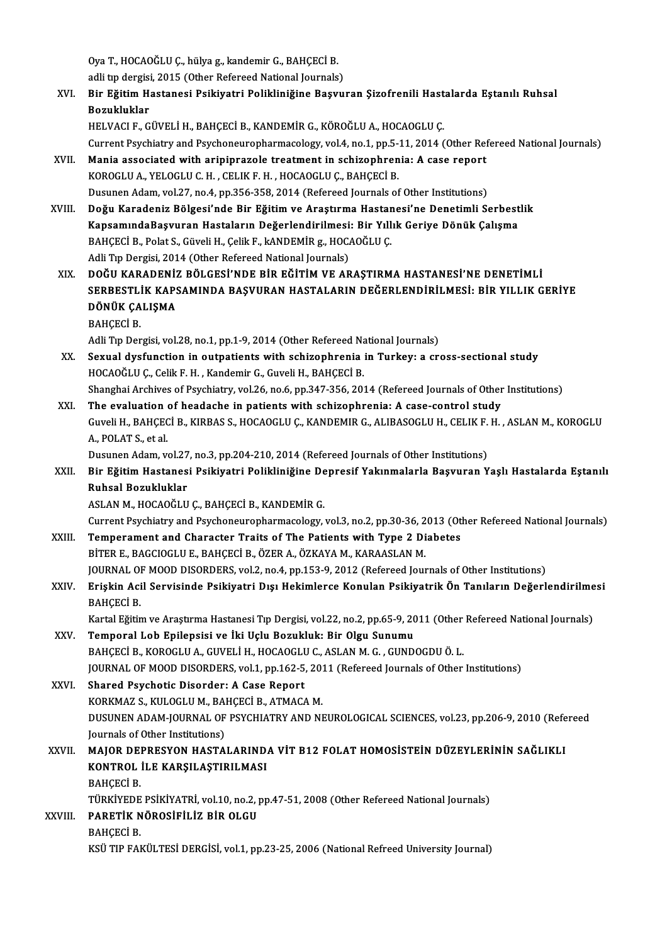Oya T., HOCAOĞLU Ç., hülya g., kandemir G., BAHÇECİ B.<br>Adli tın dargisi, 2015 (Other Pefereed National Jeurnale) Oya T., HOCAOĞLU Ç., hülya g., kandemir G., BAHÇECİ B.<br>adli tıp dergisi, 2015 (Other Refereed National Journals)<br>Bin Eğitim Hestanesi Beikiyatri Belikliniğine Besyu.

adli tip dergisi, 2015 (Other Refereed National Journals)

XVI. Bir EğitimHastanesi Psikiyatri Polikliniğine Başvuran Şizofrenili Hastalarda Eştanılı Ruhsal HELVACI F., GÜVELİ H., BAHÇECİ B., KANDEMİR G., KÖROĞLU A., HOCAOGLU Ç.

Current Psychiatry and Psychoneuropharmacology, vol.4, no.1, pp.5-11, 2014 (Other Refereed National Journals)

- HELVACI F., GÜVELİ H., BAHÇECİ B., KANDEMİR G., KÖROĞLU A., HOCAOGLU Ç.<br>Current Psychiatry and Psychoneuropharmacology, vol.4, no.1, pp.5-11, 2014 (Other Ref<br>XVII. Mania associated with aripiprazole treatment in schizophre Current Psychiatry and Psychoneuropharmacology, vol.4, no.1, pp.5–<br>Mania associated with aripiprazole treatment in schizophren<br>KOROGLU A., YELOGLU C. H. , CELIK F. H. , HOCAOGLU Ç., BAHÇECİ B.<br>Dugunan Adam vol.37, no.4, np Mania associated with aripiprazole treatment in schizophrenia: A case report<br>KOROGLU A., YELOGLU C. H. , CELIK F. H. , HOCAOGLU Ç., BAHÇECİ B.<br>Dusunen Adam, vol.27, no.4, pp.356-358, 2014 (Refereed Journals of Other Instit KOROGLU A., YELOGLU C. H. , CELIK F. H. , HOCAOGLU Ç., BAHÇECİ B.<br>Dusunen Adam, vol.27, no.4, pp.356-358, 2014 (Refereed Journals of Other Institutions)<br>XVIII. Doğu Karadeniz Bölgesi'nde Bir Eğitim ve Araştırma Hastanesi'n
- Dusunen Adam, vol.27, no.4, pp.356-358, 2014 (Refereed Journals of Other Institutions)<br>Doğu Karadeniz Bölgesi'nde Bir Eğitim ve Araştırma Hastanesi'ne Denetimli Serbest<br>KapsamındaBaşvuran Hastaların Değerlendirilmesi: Bir Doğu Karadeniz Bölgesi'nde Bir Eğitim ve Araştırma Hastar<br>KapsamındaBaşvuran Hastaların Değerlendirilmesi: Bir Yıll<br>BAHÇECİ B., Polat S., Güveli H., Çelik F., kANDEMİR g., HOCAOĞLU Ç.<br>Adli Tın Dergisi 3014 (Other Befereed KapsamındaBaşvuran Hastaların Değerlendirilmesi: Bir Yıllık Geriye Dönük Çalışma<br>BAHÇECİ B., Polat S., Güveli H., Çelik F., kANDEMİR g., HOCAOĞLU Ç.<br>Adli Tıp Dergisi, 2014 (Other Refereed National Journals)
- XIX. DOĞU KARADENİZ BÖLGESİ'NDE BİR EĞİTİMVE ARAŞTIRMA HASTANESİ'NE DENETİMLİ SERBESTLİK KAPSAMINDA BAŞVURAN HASTALARIN DEĞERLENDİRİLMESİ: BİR YILLIK GERİYE DOĞU KARADENİZ<br>SERBESTLİK KAPS<br>DÖNÜK ÇALIŞMA<br>BAHCECİ B SERBESTL<br>DÖNÜK ÇA<br>BAHÇECİ B.<br>Adli Tıp Der

BAHÇECİ B.<br>Adli Tıp Dergisi, vol.28, no.1, pp.1-9, 2014 (Other Refereed National Journals)

- XX. Sexual dysfunction in outpatients with schizophrenia in Turkey: a cross-sectional study HOCAOĞLUÇ., Celik F.H., Kandemir G., Guveli H., BAHÇECİ B. Sexual dysfunction in outpatients with schizophrenia in Turkey: a cross-sectional study<br>HOCAOĞLU Ç., Celik F. H. , Kandemir G., Guveli H., BAHÇECİ B.<br>Shanghai Archives of Psychiatry, vol.26, no.6, pp.347-356, 2014 (Referee HOCAOĞLU Ç., Celik F. H., Kandemir G., Guveli H., BAHÇECİ B.<br>Shanghai Archives of Psychiatry, vol.26, no.6, pp.347-356, 2014 (Refereed Journals of Other<br>XXI. The evaluation of headache in patients with schizophrenia: A cas
- Shanghai Archives of Psychiatry, vol.26, no.6, pp.347-356, 2014 (Refereed Journals of Other Institutions)<br>The evaluation of headache in patients with schizophrenia: A case-control study<br>Guveli H., BAHÇECİ B., KIRBAS S., HO The evaluation<br>Guveli H., BAHÇEC<br>A., POLAT S., et al.<br>Dusunen Adam w Guveli H., BAHÇECİ B., KIRBAS S., HOCAOGLU Ç., KANDEMIR G., ALIBASOGLU H., CELIK F.<br>A., POLAT S., et al.<br>Dusunen Adam, vol.27, no.3, pp.204-210, 2014 (Refereed Journals of Other Institutions)<br>Bir Eğitim Hastanasi Beiltiyat

A., POLAT S., et al.<br>Dusunen Adam, vol.27, no.3, pp.204-210, 2014 (Refereed Journals of Other Institutions)<br>XXII. Bir Eğitim Hastanesi Psikiyatri Polikliniğine Depresif Yakınmalarla Başvuran Yaşlı Hastalarda Eştanılı<br>R Dusunen Adam, vol.27<br>Bir Eğitim Hastanes<br>Ruhsal Bozukluklar<br>ASLAN M. HOCAQČLU Ruhsal Bozukluklar<br>ASLAN M., HOCAOĞLU Ç., BAHÇECİ B., KANDEMİR G. Ruhsal Bozukluklar<br>ASLAN M., HOCAOĞLU Ç., BAHÇECİ B., KANDEMİR G.<br>Current Psychiatry and Psychoneuropharmacology, vol.3, no.2, pp.30-36, 2013 (Other Refereed National Journals)<br>Temperament and Character Traite of The Batio

- ASLAN M., HOCAOĞLU Ç., BAHÇECİ B., KANDEMİR G.<br>Current Psychiatry and Psychoneuropharmacology, vol.3, no.2, pp.30-36, 2013 (Ot<br>XXIII. Temperament and Character Traits of The Patients with Type 2 Diabetes<br>PITER E. PACCIOCI Current Psychiatry and Psychoneuropharmacology, vol.3, no.2, pp.30-36, 2<br>Temperament and Character Traits of The Patients with Type 2 Di<br>BİTER E., BAGCIOGLU E., BAHÇECİ B., ÖZER A., ÖZKAYA M., KARAASLAN M.<br>JOUPMAL OE MOOD Temperament and Character Traits of The Patients with Type 2 Diabetes<br>BİTER E., BAGCIOGLU E., BAHÇECİ B., ÖZER A., ÖZKAYA M., KARAASLAN M.<br>JOURNAL OF MOOD DISORDERS, vol.2, no.4, pp.153-9, 2012 (Refereed Journals of Other
- BİTER E., BAGCIOGLU E., BAHÇECİ B., ÖZER A., ÖZKAYA M., KARAASLAN M.<br>JOURNAL OF MOOD DISORDERS, vol.2, no.4, pp.153-9, 2012 (Refereed Journals of Other Institutions)<br>XXIV. Erişkin Acil Servisinde Psikiyatri Dışı Hekiml JOURNAL O<br><mark>Erişkin Aci</mark><br>BAHÇECİ B.<br>Kartal Eğitir Erişkin Acil Servisinde Psikiyatri Dışı Hekimlerce Konulan Psikiyatrik Ön Tanıların Değerlendirilme<br>BAHÇECİ B.<br>Kartal Eğitim ve Araştırma Hastanesi Tıp Dergisi, vol.22, no.2, pp.65-9, 2011 (Other Refereed National Journals

BAHÇECİ B.<br>Kartal Eğitim ve Araştırma Hastanesi Tıp Dergisi, vol.22, no.2, pp.65-9, 20<br>XXV. Temporal Lob Epilepsisi ve İki Uçlu Bozukluk: Bir Olgu Sunumu<br>RAHÇEÇİ B. KOROCLU A. GUNELİ H. HOCAOCLU C. ASLAN M.G. GUND Kartal Eğitim ve Araştırma Hastanesi Tıp Dergisi, vol.22, no.2, pp.65-9, 2011 (Other<br>Temporal Lob Epilepsisi ve İki Uçlu Bozukluk: Bir Olgu Sunumu<br>BAHÇECİ B., KOROGLU A., GUVELİ H., HOCAOGLU C., ASLAN M. G. , GUNDOGDU Ö. L Temporal Lob Epilepsisi ve İki Uçlu Bozukluk: Bir Olgu Sunumu<br>BAHÇECİ B., KOROGLU A., GUVELİ H., HOCAOGLU C., ASLAN M. G. , GUNDOGDU Ö. L.<br>JOURNAL OF MOOD DISORDERS, vol.1, pp.162-5, 2011 (Refereed Journals of Other Instit

BAHÇECİ B., KOROGLU A., GUVELİ H., HOCAOGLU C., ASLAN M. G., GUNDOGDU Ö. L.<br>JOURNAL OF MOOD DISORDERS, vol.1, pp.162-5, 2011 (Refereed Journals of Other<br>XXVI. Shared Psychotic Disorder: A Case Report<br>KORKMAZ S., KULOGLU M. **JOURNAL OF MOOD DISORDERS, vol.1, pp.162-5, 2013**<br>Shared Psychotic Disorder: A Case Report<br>KORKMAZ S., KULOGLU M., BAHÇECİ B., ATMACA M.<br>DUSUNEN ADAM JOUPNAL OF PSYCHLATPY AND NI Shared Psychotic Disorder: A Case Report<br>KORKMAZ S., KULOGLU M., BAHÇECİ B., ATMACA M.<br>DUSUNEN ADAM-JOURNAL OF PSYCHIATRY AND NEUROLOGICAL SCIENCES, vol.23, pp.206-9, 2010 (Refereed<br>Journals of Otbor Institutions) KORKMAZ S., KULOGLU M., BA<br>DUSUNEN ADAM-JOURNAL OF<br>Journals of Other Institutions)<br>MAJOR DERRESYON HASTA DUSUNEN ADAM-JOURNAL OF PSYCHIATRY AND NEUROLOGICAL SCIENCES, vol.23, pp.206-9, 2010 (Refe<br>Journals of Other Institutions)<br>XXVII. MAJOR DEPRESYON HASTALARINDA VİT B12 FOLAT HOMOSİSTEİN DÜZEYLERİNİN SAĞLIKLI

## Journals of Other Institutions)<br>MAJOR DEPRESYON HASTALARIND.<br>KONTROL İLE KARŞILAŞTIRILMASI<br>PAHCECİ P MAJOR DEN<br>KONTROL<br>BAHÇECİ B.<br>TÜRKİYEDE KONTROL İLE KARŞILAŞTIRILMASI<br>BAHÇECİ B.<br>TÜRKİYEDE PSİKİYATRİ, vol.10, no.2, pp.47-51, 2008 (Other Refereed National Journals)

## BAHÇECİ B.<br>TÜRKİYEDE PSİKİYATRİ, vol.10, no.2, <sub>1</sub><br>XXVIII. PARETİK NÖROSİFİLİZ BİR OLGU TÜRKİYEDE<br><mark>PARETİK N</mark><br>BAHÇECİ B.<br>KSÜ TIP FAI

BAHÇECİ B.<br>KSÜ TIP FAKÜLTESİ DERGİSİ, vol.1, pp.23-25, 2006 (National Refreed University Journal)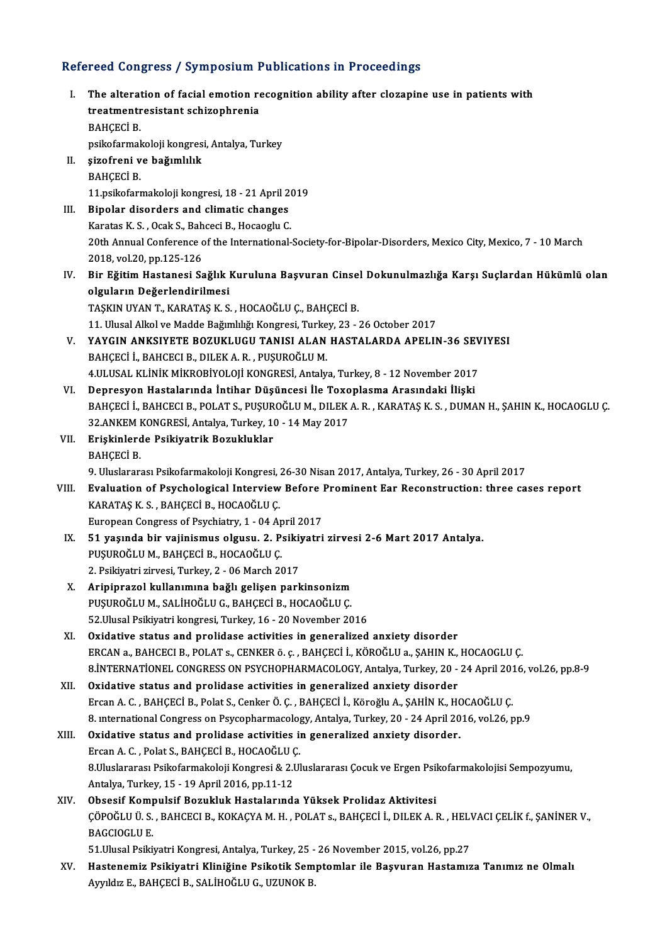# Refereed Congress / Symposium Publications in Proceedings<br>Refereed Congress / Symposium Publications in Proceedings

|            | Refereed Congress / Symposium Publications in Proceedings                                                                                        |
|------------|--------------------------------------------------------------------------------------------------------------------------------------------------|
| L.         | The alteration of facial emotion recognition ability after clozapine use in patients with<br>treatmentresistant schizophrenia                    |
|            | <b>BAHÇECİ B.</b>                                                                                                                                |
|            | psikofarmakoloji kongresi, Antalya, Turkey                                                                                                       |
| П.<br>III. | şizofreni ve bağımlılık                                                                                                                          |
|            | <b>BAHÇECİ B.</b>                                                                                                                                |
|            | 11 psikofarmakoloji kongresi, 18 - 21 April 2019                                                                                                 |
|            | Bipolar disorders and climatic changes                                                                                                           |
|            | Karatas K. S., Ocak S., Bahceci B., Hocaoglu C.                                                                                                  |
|            | 20th Annual Conference of the International-Society-for-Bipolar-Disorders, Mexico City, Mexico, 7 - 10 March                                     |
|            | 2018, vol 20, pp 125-126                                                                                                                         |
| IV.        | Bir Eğitim Hastanesi Sağlık Kuruluna Başvuran Cinsel Dokunulmazlığa Karşı Suçlardan Hükümlü olan                                                 |
|            | olguların Değerlendirilmesi                                                                                                                      |
|            | TAŞKIN UYAN T., KARATAŞ K. S., HOCAOĞLU Ç., BAHÇECİ B.                                                                                           |
|            | 11. Ulusal Alkol ve Madde Bağımlılığı Kongresi, Turkey, 23 - 26 October 2017                                                                     |
| V.         | YAYGIN ANKSIYETE BOZUKLUGU TANISI ALAN HASTALARDA APELIN-36 SEVIYESI                                                                             |
|            | BAHÇECİ İ., BAHCECI B., DILEK A. R., PUŞUROĞLU M.                                                                                                |
|            | 4.ULUSAL KLİNİK MİKROBİYOLOJİ KONGRESİ, Antalya, Turkey, 8 - 12 November 2017                                                                    |
| VI.        | Depresyon Hastalarında İntihar Düşüncesi İle Toxoplasma Arasındaki İlişki                                                                        |
|            | BAHÇECİ İ., BAHCECI B., POLAT S., PUŞUROĞLU M., DILEK A. R., KARATAŞ K. S., DUMAN H., ŞAHIN K., HOCAOGLU Ç.                                      |
|            | 32.ANKEM KONGRESİ, Antalya, Turkey, 10 - 14 May 2017                                                                                             |
| VII.       | Erişkinlerde Psikiyatrik Bozukluklar                                                                                                             |
|            | ВАНСЕСІ В.                                                                                                                                       |
|            | 9. Uluslararası Psikofarmakoloji Kongresi, 26-30 Nisan 2017, Antalya, Turkey, 26 - 30 April 2017                                                 |
| VIII.      | Evaluation of Psychological Interview Before Prominent Ear Reconstruction: three cases report                                                    |
|            | KARATAŞ K. S., BAHÇECİ B., HOCAOĞLU Ç.                                                                                                           |
| IX.        | European Congress of Psychiatry, 1 - 04 April 2017                                                                                               |
|            | 51 yaşında bir vajinismus olgusu. 2. Psikiyatri zirvesi 2-6 Mart 2017 Antalya.                                                                   |
|            | PUŞUROĞLU M., BAHÇECİ B., HOCAOĞLU Ç.                                                                                                            |
|            | 2. Psikiyatri zirvesi, Turkey, 2 - 06 March 2017                                                                                                 |
| X.         | Aripiprazol kullanımına bağlı gelişen parkinsonizm                                                                                               |
|            | PUȘUROĞLU M., SALİHOĞLU G., BAHÇECİ B., HOCAOĞLU Ç.                                                                                              |
|            | 52. Ulusal Psikiyatri kongresi, Turkey, 16 - 20 November 2016                                                                                    |
| XI.        | Oxidative status and prolidase activities in generalized anxiety disorder                                                                        |
|            | ERCAN a., BAHCECI B., POLAT s., CENKER ö. ç. , BAHÇECİ İ., KÖROĞLU a., ŞAHIN K., HOCAOGLU Ç.                                                     |
|            | 8. INTERNATIONEL CONGRESS ON PSYCHOPHARMACOLOGY, Antalya, Turkey, 20 - 24 April 2016, vol.26, pp.8-9                                             |
| XII.       | Oxidative status and prolidase activities in generalized anxiety disorder                                                                        |
|            | Ercan A. C., BAHÇECİ B., Polat S., Cenker Ö. Ç., BAHÇECİ İ., Köroğlu A., ŞAHİN K., HOCAOĞLU Ç.                                                   |
|            | 8. international Congress on Psycopharmacology, Antalya, Turkey, 20 - 24 April 2016, vol.26, pp.9                                                |
| XIII.      | Oxidative status and prolidase activities in generalized anxiety disorder.                                                                       |
|            | Ercan A. C., Polat S., BAHÇECİ B., HOCAOĞLU Ç.                                                                                                   |
|            | 8.Uluslararası Psikofarmakoloji Kongresi & 2.Uluslararası Çocuk ve Ergen Psikofarmakolojisi Sempozyumu,                                          |
|            | Antalya, Turkey, 15 - 19 April 2016, pp.11-12                                                                                                    |
| XIV.       | Obsesif Kompulsif Bozukluk Hastalarında Yüksek Prolidaz Aktivitesi                                                                               |
|            | ÇÖPOĞLU Ü. S. , BAHCECI B., KOKAÇYA M. H. , POLAT s., BAHÇECİ İ., DILEK A. R. , HELVACI ÇELİK f., ŞANİNER V.,                                    |
|            | <b>BAGCIOGLU E</b>                                                                                                                               |
|            | 51. Ulusal Psikiyatri Kongresi, Antalya, Turkey, 25 - 26 November 2015, vol.26, pp.27                                                            |
| XV.        | Hastenemiz Psikiyatri Kliniğine Psikotik Semptomlar ile Başvuran Hastamıza Tanımız ne Olmalı<br>Ayyıldız E., BAHÇECİ B., SALİHOĞLU G., UZUNOK B. |